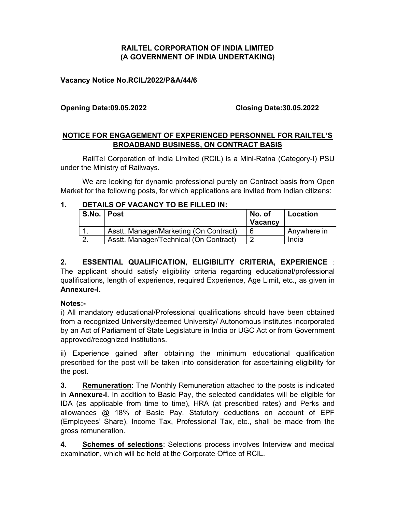## RAILTEL CORPORATION OF INDIA LIMITED (A GOVERNMENT OF INDIA UNDERTAKING)

#### Vacancy Notice No.RCIL/2022/P&A/44/6

#### Opening Date:09.05.2022 Closing Date:30.05.2022

## NOTICE FOR ENGAGEMENT OF EXPERIENCED PERSONNEL FOR RAILTEL'S BROADBAND BUSINESS, ON CONTRACT BASIS

RailTel Corporation of India Limited (RCIL) is a Mini-Ratna (Category-I) PSU under the Ministry of Railways.

 We are looking for dynamic professional purely on Contract basis from Open Market for the following posts, for which applications are invited from Indian citizens:

# 1. DETAILS OF VACANCY TO BE FILLED IN:

| S.No.   Post |                                        | No. of<br><b>Vacancy</b> | Location    |
|--------------|----------------------------------------|--------------------------|-------------|
|              | Asstt. Manager/Marketing (On Contract) |                          | Anywhere in |
|              | Asstt. Manager/Technical (On Contract) |                          | India       |

2. ESSENTIAL QUALIFICATION, ELIGIBILITY CRITERIA, EXPERIENCE : The applicant should satisfy eligibility criteria regarding educational/professional qualifications, length of experience, required Experience, Age Limit, etc., as given in Annexure-I.

### Notes:-

i) All mandatory educational/Professional qualifications should have been obtained from a recognized University/deemed University/ Autonomous institutes incorporated by an Act of Parliament of State Legislature in India or UGC Act or from Government approved/recognized institutions.

ii) Experience gained after obtaining the minimum educational qualification prescribed for the post will be taken into consideration for ascertaining eligibility for the post.

3. Remuneration: The Monthly Remuneration attached to the posts is indicated in Annexure-I. In addition to Basic Pay, the selected candidates will be eligible for IDA (as applicable from time to time), HRA (at prescribed rates) and Perks and allowances @ 18% of Basic Pay. Statutory deductions on account of EPF (Employees' Share), Income Tax, Professional Tax, etc., shall be made from the gross remuneration.

4. Schemes of selections: Selections process involves Interview and medical examination, which will be held at the Corporate Office of RCIL.